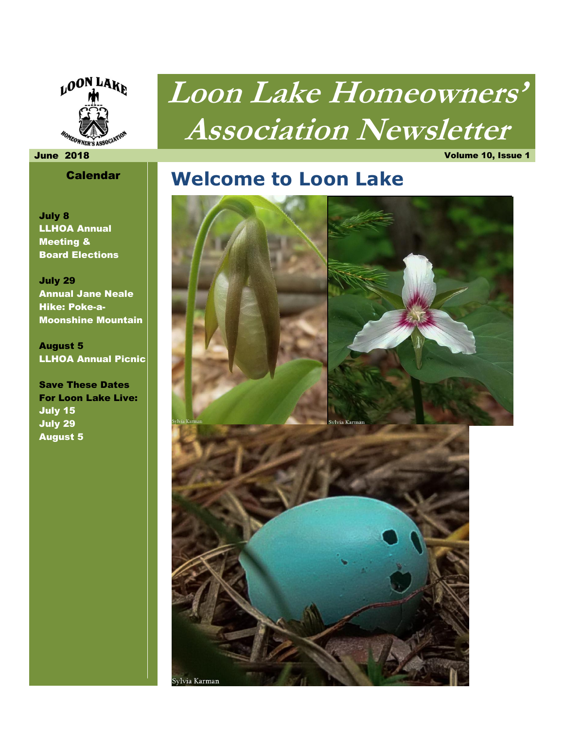

# **Loon Lake Homeowners' Association Newsletter**

#### June 2018 Volume 10, Issue 1

### Calendar

July 8 LLHOA Annual Meeting & Board Elections

July 29 Annual Jane Neale Hike: Poke-a-Moonshine Mountain

August 5 LLHOA Annual Picnic

Save These Dates For Loon Lake Live: July 15 July 29 August 5

### **Welcome to Loon Lake**

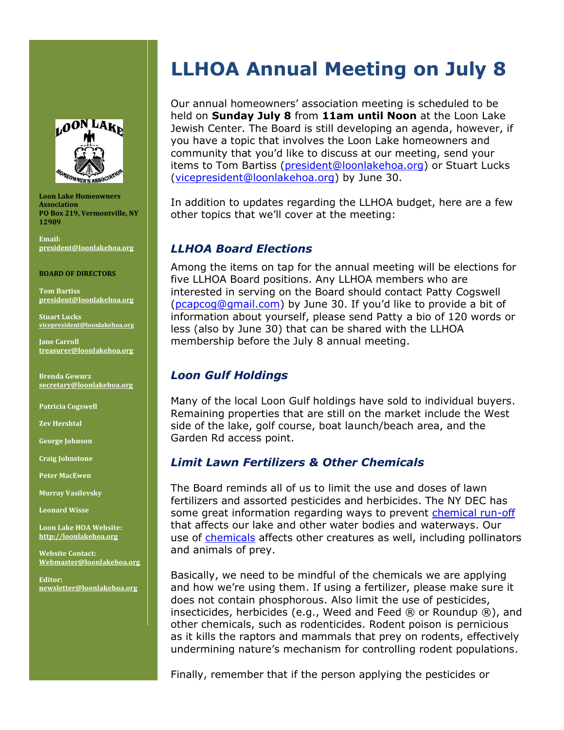

**Loon Lake Homeowners Association PO Box 219, Vermontville, NY 12989** 

**Email: [president@loonlakehoa.org](mailto:president@loonlakehoa.org)**

#### **BOARD OF DIRECTORS**

**Tom Bartiss [president@loonlakehoa.org](mailto:president@loonlakehoa.org)**

**Stuart Lucks [vicepresident@loonlakehoa.org](mailto:vicepresident@loonlakehoa.org)**

**Jane Carroll [treasurer@loonlakehoa.org](mailto:treasurer@loonlakehoa.org)**

**Brenda Gewurz [secretary@loonlakehoa.org](mailto:secretary@loonlakehoa.org)**

**Patricia Cogswell**

**Zev Hershtal**

**George Johnson** 

**Craig Johnstone**

**Peter MacEwen**

**Murray Vasilevsky**

**Leonard Wisse**

**Loon Lake HOA Website: [http://loonlakehoa.org](http://loonlakehoa.org/)**

**Website Contact: Webmaster@loonlakehoa.org**

**Editor: [newsletter@loonlakehoa.org](mailto:newsletter@loonlakehoa.org)**

## **LLHOA Annual Meeting on July 8**

Our annual homeowners' association meeting is scheduled to be held on **Sunday July 8** from **11am until Noon** at the Loon Lake Jewish Center. The Board is still developing an agenda, however, if you have a topic that involves the Loon Lake homeowners and community that you'd like to discuss at our meeting, send your items to Tom Bartiss [\(president@loonlakehoa.org\)](mailto:president@loonlakehoa.org) or Stuart Lucks [\(vicepresident@loonlakehoa.org\)](mailto:vicepresident@loonlakehoa.org) by June 30.

In addition to updates regarding the LLHOA budget, here are a few other topics that we'll cover at the meeting:

#### *LLHOA Board Elections*

Among the items on tap for the annual meeting will be elections for five LLHOA Board positions. Any LLHOA members who are interested in serving on the Board should contact Patty Cogswell [\(pcapcog@gmail.com\)](mailto:pcapcog@gmail.com) by June 30. If you'd like to provide a bit of information about yourself, please send Patty a bio of 120 words or less (also by June 30) that can be shared with the LLHOA membership before the July 8 annual meeting.

### *Loon Gulf Holdings*

Many of the local Loon Gulf holdings have sold to individual buyers. Remaining properties that are still on the market include the West side of the lake, golf course, boat launch/beach area, and the Garden Rd access point.

### *Limit Lawn Fertilizers & Other Chemicals*

The Board reminds all of us to limit the use and doses of lawn fertilizers and assorted pesticides and herbicides. The NY DEC has some great information regarding ways to prevent [chemical run-off](https://www.dec.ny.gov/chemical/74885.html) that affects our lake and other water bodies and waterways. Our use of [chemicals](https://www.dec.ny.gov/chemical/298.html) affects other creatures as well, including pollinators and animals of prey.

Basically, we need to be mindful of the chemicals we are applying and how we're using them. If using a fertilizer, please make sure it does not contain phosphorous. Also limit the use of pesticides, insecticides, herbicides (e.g., Weed and Feed  $\circledR$  or Roundup  $\circledR$ ), and other chemicals, such as rodenticides. Rodent poison is pernicious as it kills the raptors and mammals that prey on rodents, effectively undermining nature's mechanism for controlling rodent populations.

Finally, remember that if the person applying the pesticides or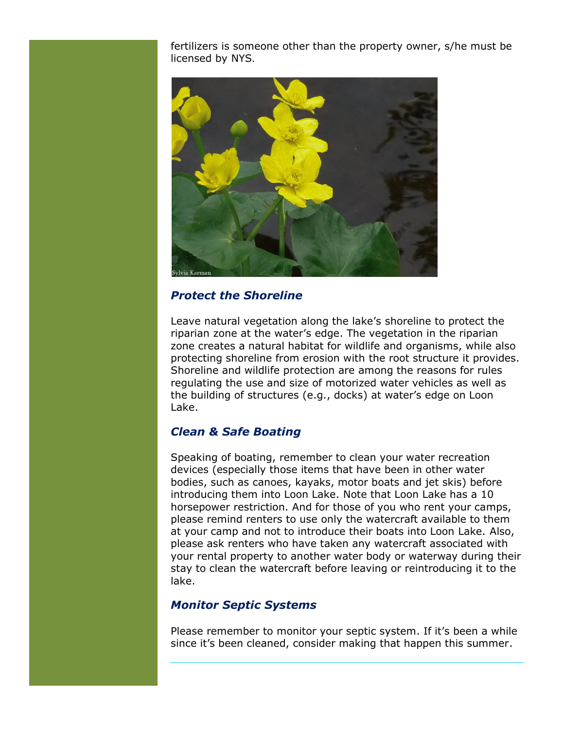fertilizers is someone other than the property owner, s/he must be licensed by NYS.



### *Protect the Shoreline*

Leave natural vegetation along the lake's shoreline to protect the riparian zone at the water's edge. The vegetation in the riparian zone creates a natural habitat for wildlife and organisms, while also protecting shoreline from erosion with the root structure it provides. Shoreline and wildlife protection are among the reasons for rules regulating the use and size of motorized water vehicles as well as the building of structures (e.g., docks) at water's edge on Loon Lake.

### *Clean & Safe Boating*

Speaking of boating, remember to clean your water recreation devices (especially those items that have been in other water bodies, such as canoes, kayaks, motor boats and jet skis) before introducing them into Loon Lake. Note that Loon Lake has a 10 horsepower restriction. And for those of you who rent your camps, please remind renters to use only the watercraft available to them at your camp and not to introduce their boats into Loon Lake. Also, please ask renters who have taken any watercraft associated with your rental property to another water body or waterway during their stay to clean the watercraft before leaving or reintroducing it to the lake.

### *Monitor Septic Systems*

Please remember to monitor your septic system. If it's been a while since it's been cleaned, consider making that happen this summer.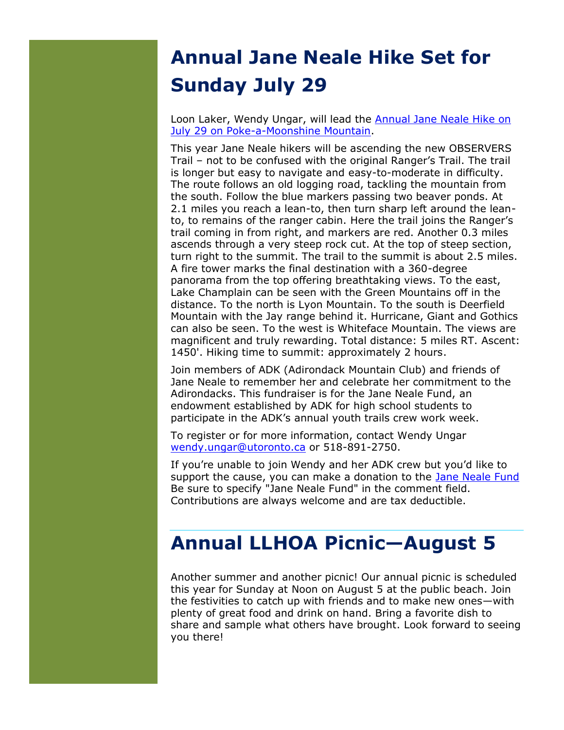# **Annual Jane Neale Hike Set for Sunday July 29**

Loon Laker, Wendy Ungar, will lead the [Annual Jane Neale Hike on](https://www.adk.org/wp-content/uploads/2018/04/JNF-hike_flyer-2018-for-posting.pdf)  [July 29 on Poke-a-Moonshine Mountain.](https://www.adk.org/wp-content/uploads/2018/04/JNF-hike_flyer-2018-for-posting.pdf)

This year Jane Neale hikers will be ascending the new OBSERVERS Trail – not to be confused with the original Ranger's Trail. The trail is longer but easy to navigate and easy-to-moderate in difficulty. The route follows an old logging road, tackling the mountain from the south. Follow the blue markers passing two beaver ponds. At 2.1 miles you reach a lean-to, then turn sharp left around the leanto, to remains of the ranger cabin. Here the trail joins the Ranger's trail coming in from right, and markers are red. Another 0.3 miles ascends through a very steep rock cut. At the top of steep section, turn right to the summit. The trail to the summit is about 2.5 miles. A fire tower marks the final destination with a 360-degree panorama from the top offering breathtaking views. To the east, Lake Champlain can be seen with the Green Mountains off in the distance. To the north is Lyon Mountain. To the south is Deerfield Mountain with the Jay range behind it. Hurricane, Giant and Gothics can also be seen. To the west is Whiteface Mountain. The views are magnificent and truly rewarding. Total distance: 5 miles RT. Ascent: 1450'. Hiking time to summit: approximately 2 hours.

Join members of ADK (Adirondack Mountain Club) and friends of Jane Neale to remember her and celebrate her commitment to the Adirondacks. This fundraiser is for the Jane Neale Fund, an endowment established by ADK for high school students to participate in the ADK's annual youth trails crew work week.

To register or for more information, contact Wendy Ungar [wendy.ungar@utoronto.ca](mailto:wendy.ungar@utoronto.ca) or 518-891-2750.

If you're unable to join Wendy and her ADK crew but you'd like to support the cause, you can make a donation to the [Jane Neale Fund](https://www.adk.org/protect/donate/?pname=neale-scholarship-fund) Be sure to specify "Jane Neale Fund" in the comment field. Contributions are always welcome and are tax deductible.

### **Annual LLHOA Picnic—August 5**

Another summer and another picnic! Our annual picnic is scheduled this year for Sunday at Noon on August 5 at the public beach. Join the festivities to catch up with friends and to make new ones—with plenty of great food and drink on hand. Bring a favorite dish to share and sample what others have brought. Look forward to seeing you there!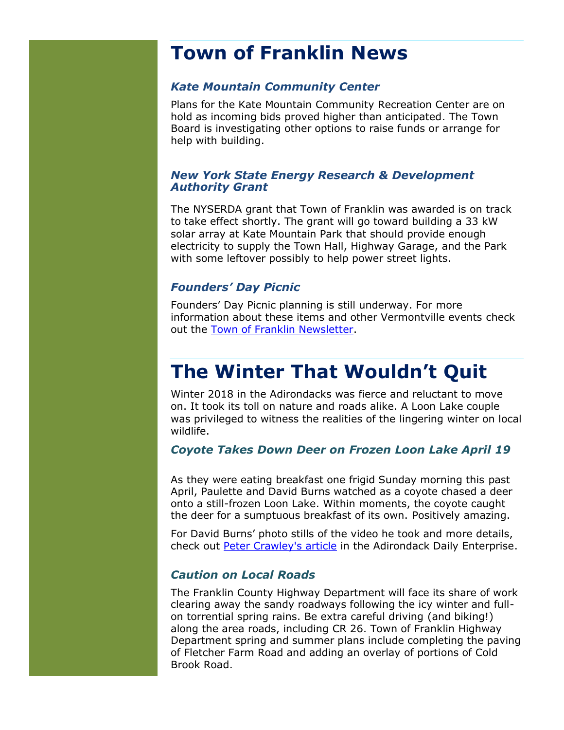### **Town of Franklin News**

### *Kate Mountain Community Center*

Plans for the Kate Mountain Community Recreation Center are on hold as incoming bids proved higher than anticipated. The Town Board is investigating other options to raise funds or arrange for help with building.

### *New York State Energy Research & Development Authority Grant*

The NYSERDA grant that Town of Franklin was awarded is on track to take effect shortly. The grant will go toward building a 33 kW solar array at Kate Mountain Park that should provide enough electricity to supply the Town Hall, Highway Garage, and the Park with some leftover possibly to help power street lights.

### *Founders' Day Picnic*

Founders' Day Picnic planning is still underway. For more information about these items and other Vermontville events check out the [Town of Franklin Newsletter.](http://www.townoffranklin.com/newsletter.html)

### **The Winter That Wouldn't Quit**

Winter 2018 in the Adirondacks was fierce and reluctant to move on. It took its toll on nature and roads alike. A Loon Lake couple was privileged to witness the realities of the lingering winter on local wildlife.

### *Coyote Takes Down Deer on Frozen Loon Lake April 19*

As they were eating breakfast one frigid Sunday morning this past April, Paulette and David Burns watched as a coyote chased a deer onto a still-frozen Loon Lake. Within moments, the coyote caught the deer for a sumptuous breakfast of its own. Positively amazing.

For David Burns' photo stills of the video he took and more details, check out [Peter Crawley's article](http://www.adirondackdailyenterprise.com/news/local-news/2018/04/couple-watches-as-coyote-kills-a-deer-on-frozen-loon-lake/) in the Adirondack Daily Enterprise.

### *Caution on Local Roads*

The Franklin County Highway Department will face its share of work clearing away the sandy roadways following the icy winter and fullon torrential spring rains. Be extra careful driving (and biking!) along the area roads, including CR 26. Town of Franklin Highway Department spring and summer plans include completing the paving of Fletcher Farm Road and adding an overlay of portions of Cold Brook Road.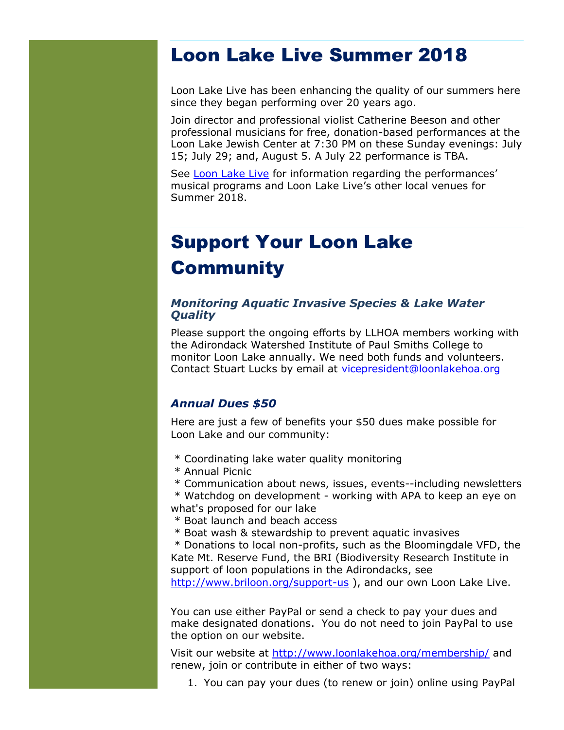### Loon Lake Live Summer 2018

Loon Lake Live has been enhancing the quality of our summers here since they began performing over 20 years ago.

Join director and professional violist Catherine Beeson and other professional musicians for free, donation-based performances at the Loon Lake Jewish Center at 7:30 PM on these Sunday evenings: July 15; July 29; and, August 5. A July 22 performance is TBA.

See [Loon Lake Live](https://www.loonlakelive.org/schedule.html) for information regarding the performances' musical programs and Loon Lake Live's other local venues for Summer 2018.

# Support Your Loon Lake **Community**

#### *Monitoring Aquatic Invasive Species & Lake Water Quality*

Please support the ongoing efforts by LLHOA members working with the Adirondack Watershed Institute of Paul Smiths College to monitor Loon Lake annually. We need both funds and volunteers. Contact Stuart Lucks by email at [vicepresident@loonlakehoa.org](mailto:vicepresident@loonlakehoa.org)

### *Annual Dues \$50*

Here are just a few of benefits your \$50 dues make possible for Loon Lake and our community:

- \* Coordinating lake water quality monitoring
- \* Annual Picnic
- \* Communication about news, issues, events--including newsletters

\* Watchdog on development - working with APA to keep an eye on what's proposed for our lake

- \* Boat launch and beach access
- \* Boat wash & stewardship to prevent aquatic invasives

\* Donations to local non-profits, such as the Bloomingdale VFD, the Kate Mt. Reserve Fund, the BRI (Biodiversity Research Institute in support of loon populations in the Adirondacks, see <http://www.briloon.org/support-us> ), and our own Loon Lake Live.

You can use either PayPal or send a check to pay your dues and make designated donations. You do not need to join PayPal to use the option on our website.

Visit our website at<http://www.loonlakehoa.org/membership/> and renew, join or contribute in either of two ways:

1. You can pay your dues (to renew or join) online using PayPal